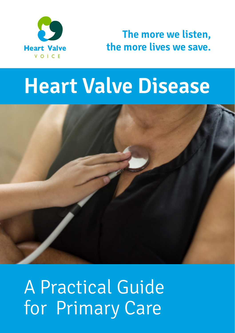

The more we listen, the more lives we save.

# **Heart Valve Disease**



A Practical Guide for Primary Care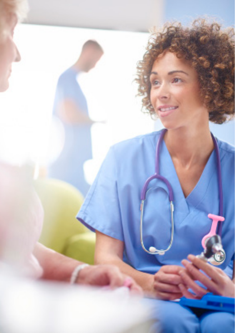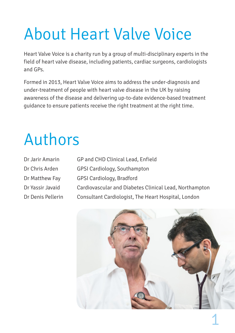## About Heart Valve Voice

Heart Valve Voice is a charity run by a group of multi-disciplinary experts in the field of heart valve disease, including patients, cardiac surgeons, cardiologists and  $GPs$ 

Formed in 2013, Heart Valve Voice aims to address the under-diagnosis and under-treatment of people with heart valve disease in the UK by raising awareness of the disease and delivering up-to-date evidence-based treatment quidance to ensure patients receive the right treatment at the right time.

### Authors

| Dr Jarir Amarin   | GP and CHD Clinical Lead, Enfield                      |
|-------------------|--------------------------------------------------------|
| Dr Chris Arden    | GPSI Cardiology, Southampton                           |
| Dr Matthew Fay    | GPSI Cardiology, Bradford                              |
| Dr Yassir Javaid  | Cardiovascular and Diabetes Clinical Lead, Northampton |
| Dr Denis Pellerin | Consultant Cardiologist, The Heart Hospital, London    |
|                   |                                                        |

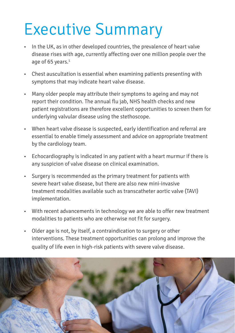### **Executive Summary**

- In the UK, as in other developed countries, the prevalence of heart valve disease rises with age, currently affecting over one million people over the age of 65 years. $1$
- Chest auscultation is essential when examining patients presenting with symptoms that may indicate heart valve disease.
- Many older people may attribute their symptoms to ageing and may not report their condition. The annual flu jab. NHS health checks and new patient registrations are therefore excellent opportunities to screen them for underlying valvular disease using the stethoscope.
- When heart valve disease is suspected, early identification and referral are essential to enable timely assessment and advice on appropriate treatment by the cardiology team.
- Echocardiography is indicated in any patient with a heart murmur if there is any suspicion of valve disease on clinical examination.
- Surgery is recommended as the primary treatment for patients with severe heart valve disease, but there are also new mini-invasive treatment modalities available such as transcatheter aortic valve (TAVI) implementation.
- With recent advancements in technology we are able to offer new treatment modalities to patients who are otherwise not fit for surgery.
- Older age is not, by itself, a contraindication to surgery or other interventions. These treatment opportunities can prolong and improve the quality of life even in high-risk patients with severe valve disease.

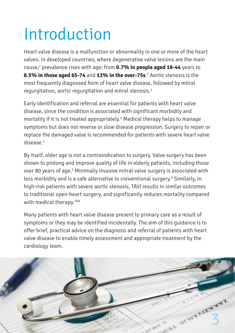## Introduction

Heart valve disease is a malfunction or abnormality in one or more of the heart valves. In developed countries, where degenerative valve lesions are the main cause,<sup>2</sup> prevalence rises with age: from **0.7% in people aged 18-44** years to **8.5% in those aged 65-74** and **13% in the over-75s**.<sup>3</sup> Aortic stenosis is the most frequently diagnosed form of heart valve disease, followed by mitral regurgitation, aortic regurgitation and mitral stenosis.<sup>2</sup>

Early identification and referral are essential for patients with heart valve disease, since the condition is associated with significant morbidity and mortality if it is not treated appropriately. $^2$  Medical therapy helps to manage symptoms but does not reverse or slow disease progression. Surgery to repair or replace the damaged valve is recommended for patients with severe heart valve disease<sup>4</sup>

By itself, older age is not a contraindication to surgery. Valve surgery has been shown to prolong and improve quality of life in elderly patients, including those over 80 years of age.<sup>5</sup> Minimally invasive mitral valve surgery is associated with less morbidity and is a safe alternative to conventional surgery.<sup>6</sup> Similarly, in high-risk patients with severe aortic stenosis, TAVI results in similar outcomes to traditional open-heart surgery, and significantly reduces mortality compared with medical therapy.<sup>768</sup>

Many patients with heart valve disease present to primary care as a result of symptoms or they may be identified incidentally. The aim of this quidance is to offer brief, practical advice on the diagnosis and referral of patients with heart valve disease to enable timely assessment and appropriate treatment by the cardiology team.

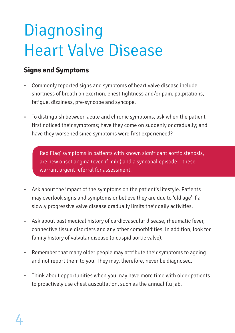### **Diagnosing Heart Valve Disease**

#### **Signs and Symptoms**

- Commonly reported signs and symptoms of heart valve disease include shortness of breath on exertion, chest tightness and/or pain, palpitations, fatique, dizziness, pre-syncope and syncope.
- To distinguish between acute and chronic symptoms, ask when the patient first noticed their symptoms; have they come on suddenly or gradually; and have they worsened since symptoms were first experienced?

Red Flag' symptoms in patients with known significant aortic stenosis, are new onset angina (even if mild) and a syncopal episode  $-$  these warrant urgent referral for assessment.

- Ask about the impact of the symptoms on the patient's lifestyle. Patients may overlook signs and symptoms or believe they are due to 'old age' if a slowly progressive valve disease gradually limits their daily activities.
- Ask about past medical history of cardiovascular disease, rheumatic fever. connective tissue disorders and any other comorbidities. In addition, look for family history of valvular disease (bicuspid aortic valve).
- Remember that many older people may attribute their symptoms to ageing and not report them to you. They may, therefore, never be diagnosed.
- Think about opportunities when you may have more time with older patients to proactively use chest auscultation, such as the annual flu jab.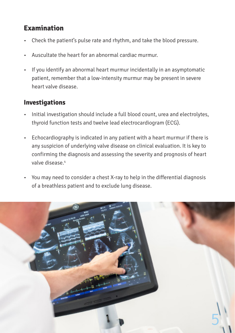#### **Examination**

- Check the patient's pulse rate and rhythm, and take the blood pressure.
- Auscultate the heart for an abnormal cardiac murmur.
- If you identify an abnormal heart murmur incidentally in an asymptomatic patient, remember that a low-intensity murmur may be present in severe heart valve disease

#### **Investigations**

- Initial investigation should include a full blood count, urea and electrolytes, thyroid function tests and twelve lead electrocardiogram (ECG).
- Echocardiography is indicated in any patient with a heart murmur if there is any suspicion of underlying valve disease on clinical evaluation. It is key to confirming the diagnosis and assessing the severity and prognosis of heart valve disease.<sup>4</sup>
- You may need to consider a chest X-ray to help in the differential diagnosis of a breathless patient and to exclude lung disease.

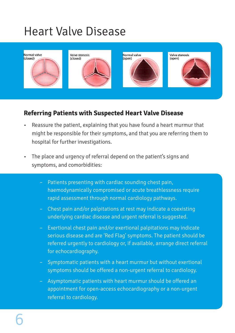### Heart Valve Disease



#### **Referring Patients with Suspected Heart Valve Disease**

- Reassure the patient, explaining that you have found a heart murmur that might be responsible for their symptoms, and that you are referring them to hospital for further investigations.
- The place and urgency of referral depend on the patient's signs and symptoms, and comorbidities:
	- Patients presenting with cardiac sounding chest pain, haemodynamically compromised or acute breathlessness require rapid assessment through normal cardiology pathways.
	- Chest pain and/or palpitations at rest may indicate a coexisting underlying cardiac disease and urgent referral is suggested.
	- $i$  Exertional chest pain and/or exertional palpitations may indicate serious disease and are 'Red Flag' symptoms. The patient should be referred urgently to cardiology or, if available, arrange direct referral for echocardiography.
	- Symptomatic patients with a heart murmur but without exertional symptoms should be offered a non-urgent referral to cardiology.
	- Asymptomatic patients with heart murmur should be offered an appointment for open-access echocardiography or a non-urgent referral to cardiology.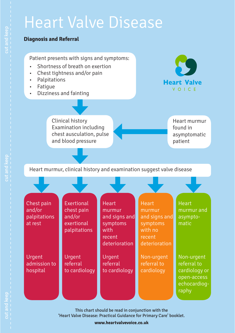### **Heart Valve Disease**

#### **Diagnosis and Referral**

Heart murmur found in asymptomatic patient Chest pain and/or palpitations at rest Urgent admission to hospital **Exertional** chest pain  $and/or$ exertional palpitations **Urgent** referral to cardiology Heart murmur and signs and symptoms with recent deterioration **Urgent** referral to cardiology Heart murmur and signs and symptoms with no recent deterioration Non-urgent referral to cardiology Heart murmur and matic-asympto Non-urgent referral to cardiology or open-access echocardiog-<br>raphy **Heart Valve** V O I C F Heart murmur, clinical history and examination suggest valve disease Clinical history Examination including chest ausculation, pulse and blood pressure Patient presents with signs and symptoms: • Shortness of breath on exertion • Chest tightness and/or pain • Palpitations • Fatique Dizziness and fainting

> This chart should be read in conjunction with the 'Heart Valve Disease: Practical Guidance for Primary Care' booklet.

> > www.heartvalvevoice.co.uk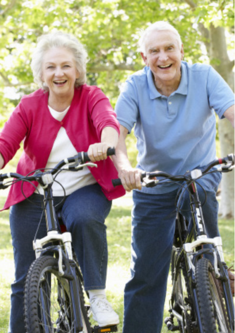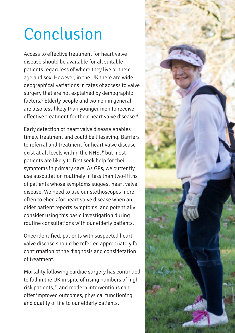### Conclusion

Access to effective treatment for heart valve disease should be available for all suitable patients regardless of where they live or their age and sex. However, in the UK there are wide geographical variations in rates of access to valve surgery that are not explained by demographic factors.<sup>9</sup> Elderly people and women in general are also less likely than younger men to receive effective treatment for their heart valve disease  $9$ 

Early detection of heart valve disease enables timely treatment and could be lifesaving. Barriers to referral and treatment for heart valve disease exist at all levels within the NHS, <sup>9</sup> but most patients are likely to first seek help for their symptoms in primary care. As GPs, we currently use auscultation routinely in less than two-fifths of patients whose symptoms suggest heart valve disease. We need to use our stethoscopes more often to check for heart valve disease when an older patient reports symptoms, and potentially consider using this basic investigation during routine consultations with our elderly patients.

Once identified, patients with suspected heart valve disease should be referred appropriately for confirmation of the diagnosis and consideration of treatment.

Mortality following cardiac surgery has continued risk patients. $11$  and modern interventions can to fall in the UK in spite of rising numbers of highoffer improved outcomes, physical functioning and quality of life to our elderly patients.